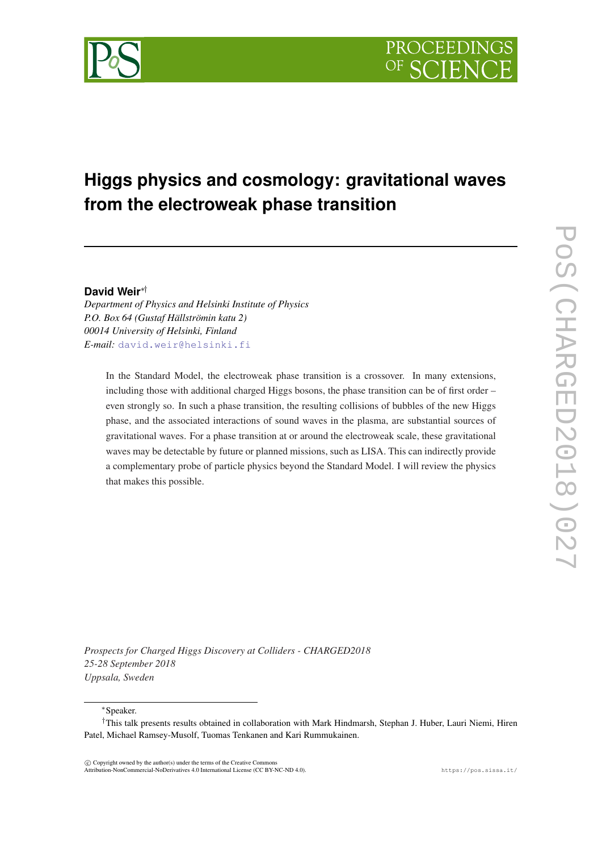# **Higgs physics and cosmology: gravitational waves from the electroweak phase transition**

## **David Weir**∗†

*Department of Physics and Helsinki Institute of Physics P.O. Box 64 (Gustaf Hällströmin katu 2) 00014 University of Helsinki, Finland E-mail:* [david.weir@helsinki.fi](mailto:david.weir@helsinki.fi)

In the Standard Model, the electroweak phase transition is a crossover. In many extensions, including those with additional charged Higgs bosons, the phase transition can be of first order – even strongly so. In such a phase transition, the resulting collisions of bubbles of the new Higgs phase, and the associated interactions of sound waves in the plasma, are substantial sources of gravitational waves. For a phase transition at or around the electroweak scale, these gravitational waves may be detectable by future or planned missions, such as LISA. This can indirectly provide a complementary probe of particle physics beyond the Standard Model. I will review the physics that makes this possible.

*Prospects for Charged Higgs Discovery at Colliders - CHARGED2018 25-28 September 2018 Uppsala, Sweden*

<sup>∗</sup>Speaker.

 $\overline{c}$  Copyright owned by the author(s) under the terms of the Creative Common Attribution-NonCommercial-NoDerivatives 4.0 International License (CC BY-NC-ND 4.0). https://pos.sissa.it/

<sup>†</sup>This talk presents results obtained in collaboration with Mark Hindmarsh, Stephan J. Huber, Lauri Niemi, Hiren Patel, Michael Ramsey-Musolf, Tuomas Tenkanen and Kari Rummukainen.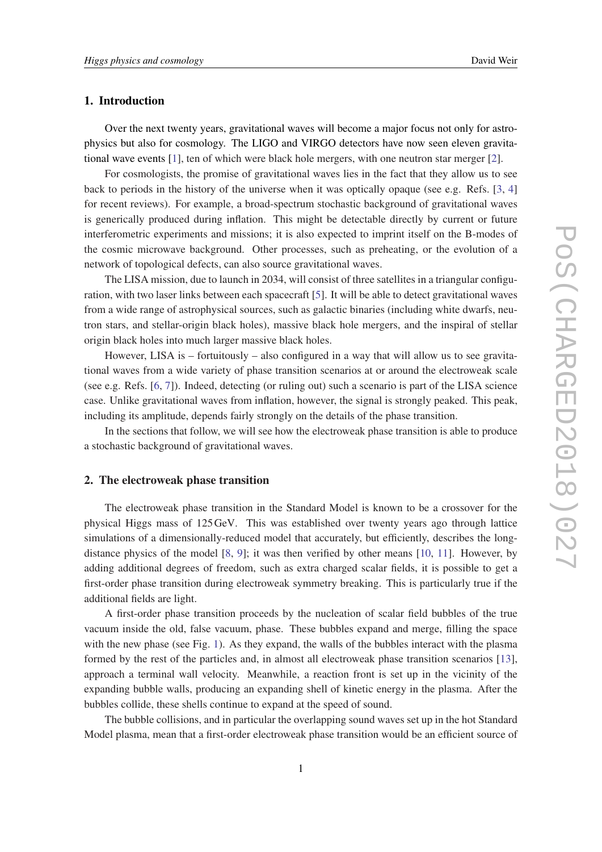### 1. Introduction

Over the next twenty years, gravitational waves will become a major focus not only for astrophysics but also for cosmology. The LIGO and VIRGO detectors have now seen eleven gravitational wave events [[1](#page-7-0)], ten of which were black hole mergers, with one neutron star merger [\[2\]](#page-7-0).

For cosmologists, the promise of gravitational waves lies in the fact that they allow us to see back to periods in the history of the universe when it was optically opaque (see e.g. Refs. [\[3,](#page-7-0) [4](#page-7-0)] for recent reviews). For example, a broad-spectrum stochastic background of gravitational waves is generically produced during inflation. This might be detectable directly by current or future interferometric experiments and missions; it is also expected to imprint itself on the B-modes of the cosmic microwave background. Other processes, such as preheating, or the evolution of a network of topological defects, can also source gravitational waves.

The LISA mission, due to launch in 2034, will consist of three satellites in a triangular configuration, with two laser links between each spacecraft [\[5\]](#page-7-0). It will be able to detect gravitational waves from a wide range of astrophysical sources, such as galactic binaries (including white dwarfs, neutron stars, and stellar-origin black holes), massive black hole mergers, and the inspiral of stellar origin black holes into much larger massive black holes.

However, LISA is – fortuitously – also configured in a way that will allow us to see gravitational waves from a wide variety of phase transition scenarios at or around the electroweak scale (see e.g. Refs. [\[6,](#page-7-0) [7\]](#page-7-0)). Indeed, detecting (or ruling out) such a scenario is part of the LISA science case. Unlike gravitational waves from inflation, however, the signal is strongly peaked. This peak, including its amplitude, depends fairly strongly on the details of the phase transition.

In the sections that follow, we will see how the electroweak phase transition is able to produce a stochastic background of gravitational waves.

#### 2. The electroweak phase transition

The electroweak phase transition in the Standard Model is known to be a crossover for the physical Higgs mass of 125GeV. This was established over twenty years ago through lattice simulations of a dimensionally-reduced model that accurately, but efficiently, describes the longdistance physics of the model [[8](#page-7-0), [9](#page-7-0)]; it was then verified by other means [\[10](#page-7-0), [11](#page-8-0)]. However, by adding additional degrees of freedom, such as extra charged scalar fields, it is possible to get a first-order phase transition during electroweak symmetry breaking. This is particularly true if the additional fields are light.

A first-order phase transition proceeds by the nucleation of scalar field bubbles of the true vacuum inside the old, false vacuum, phase. These bubbles expand and merge, filling the space with the new phase (see Fig. [1](#page-2-0)). As they expand, the walls of the bubbles interact with the plasma formed by the rest of the particles and, in almost all electroweak phase transition scenarios [[13\]](#page-8-0), approach a terminal wall velocity. Meanwhile, a reaction front is set up in the vicinity of the expanding bubble walls, producing an expanding shell of kinetic energy in the plasma. After the bubbles collide, these shells continue to expand at the speed of sound.

The bubble collisions, and in particular the overlapping sound waves set up in the hot Standard Model plasma, mean that a first-order electroweak phase transition would be an efficient source of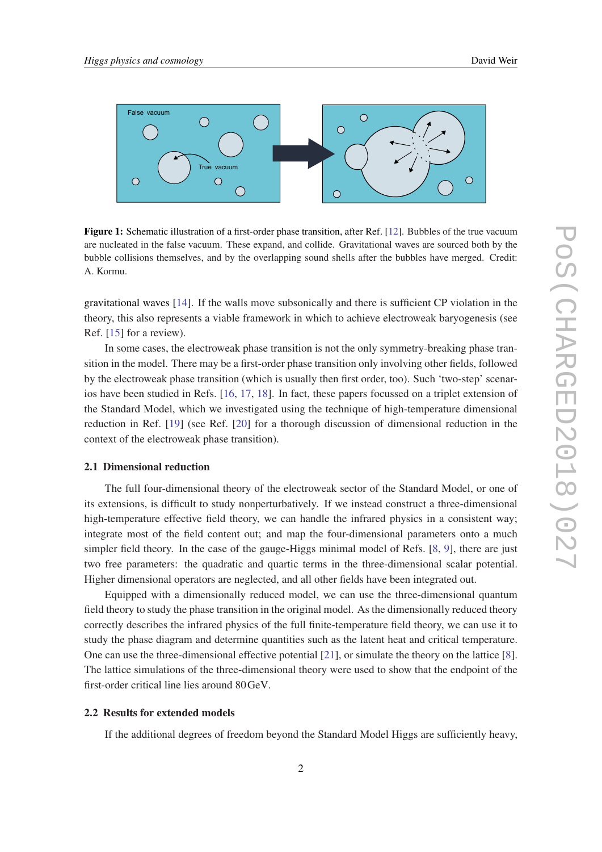<span id="page-2-0"></span>

Figure 1: Schematic illustration of a first-order phase transition, after Ref. [\[12](#page-8-0)]. Bubbles of the true vacuum are nucleated in the false vacuum. These expand, and collide. Gravitational waves are sourced both by the bubble collisions themselves, and by the overlapping sound shells after the bubbles have merged. Credit: A. Kormu.

gravitational waves [[14](#page-8-0)]. If the walls move subsonically and there is sufficient CP violation in the theory, this also represents a viable framework in which to achieve electroweak baryogenesis (see Ref. [\[15](#page-8-0)] for a review).

In some cases, the electroweak phase transition is not the only symmetry-breaking phase transition in the model. There may be a first-order phase transition only involving other fields, followed by the electroweak phase transition (which is usually then first order, too). Such 'two-step' scenarios have been studied in Refs. [\[16,](#page-8-0) [17,](#page-8-0) [18](#page-8-0)]. In fact, these papers focussed on a triplet extension of the Standard Model, which we investigated using the technique of high-temperature dimensional reduction in Ref. [\[19](#page-8-0)] (see Ref. [\[20](#page-8-0)] for a thorough discussion of dimensional reduction in the context of the electroweak phase transition).

#### 2.1 Dimensional reduction

The full four-dimensional theory of the electroweak sector of the Standard Model, or one of its extensions, is difficult to study nonperturbatively. If we instead construct a three-dimensional high-temperature effective field theory, we can handle the infrared physics in a consistent way; integrate most of the field content out; and map the four-dimensional parameters onto a much simpler field theory. In the case of the gauge-Higgs minimal model of Refs. [[8](#page-7-0), [9\]](#page-7-0), there are just two free parameters: the quadratic and quartic terms in the three-dimensional scalar potential. Higher dimensional operators are neglected, and all other fields have been integrated out.

Equipped with a dimensionally reduced model, we can use the three-dimensional quantum field theory to study the phase transition in the original model. As the dimensionally reduced theory correctly describes the infrared physics of the full finite-temperature field theory, we can use it to study the phase diagram and determine quantities such as the latent heat and critical temperature. One can use the three-dimensional effective potential [[21](#page-8-0)], or simulate the theory on the lattice [\[8\]](#page-7-0). The lattice simulations of the three-dimensional theory were used to show that the endpoint of the first-order critical line lies around 80GeV.

#### 2.2 Results for extended models

If the additional degrees of freedom beyond the Standard Model Higgs are sufficiently heavy,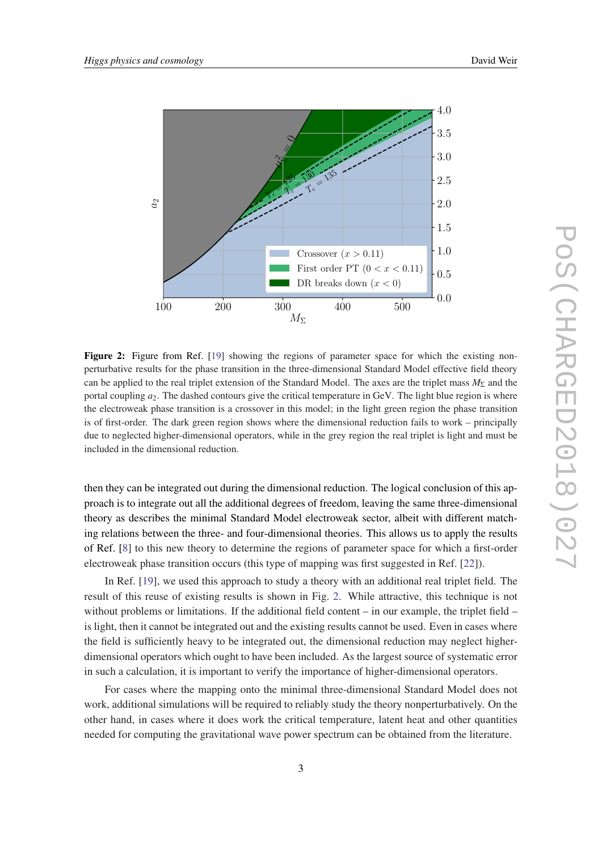

Figure 2: Figure from Ref. [[19\]](#page-8-0) showing the regions of parameter space for which the existing nonperturbative results for the phase transition in the three-dimensional Standard Model effective field theory can be applied to the real triplet extension of the Standard Model. The axes are the triplet mass *M<sub>Σ</sub>* and the portal coupling *a*2. The dashed contours give the critical temperature in GeV. The light blue region is where the electroweak phase transition is a crossover in this model; in the light green region the phase transition is of first-order. The dark green region shows where the dimensional reduction fails to work – principally due to neglected higher-dimensional operators, while in the grey region the real triplet is light and must be included in the dimensional reduction.

then they can be integrated out during the dimensional reduction. The logical conclusion of this approach is to integrate out all the additional degrees of freedom, leaving the same three-dimensional theory as describes the minimal Standard Model electroweak sector, albeit with different matching relations between the three- and four-dimensional theories. This allows us to apply the results of Ref. [\[8\]](#page-7-0) to this new theory to determine the regions of parameter space for which a first-order electroweak phase transition occurs (this type of mapping was first suggested in Ref. [[22\]](#page-8-0)).

In Ref. [[19\]](#page-8-0), we used this approach to study a theory with an additional real triplet field. The result of this reuse of existing results is shown in Fig. 2. While attractive, this technique is not without problems or limitations. If the additional field content – in our example, the triplet field – is light, then it cannot be integrated out and the existing results cannot be used. Even in cases where the field is sufficiently heavy to be integrated out, the dimensional reduction may neglect higherdimensional operators which ought to have been included. As the largest source of systematic error in such a calculation, it is important to verify the importance of higher-dimensional operators.

For cases where the mapping onto the minimal three-dimensional Standard Model does not work, additional simulations will be required to reliably study the theory nonperturbatively. On the other hand, in cases where it does work the critical temperature, latent heat and other quantities needed for computing the gravitational wave power spectrum can be obtained from the literature.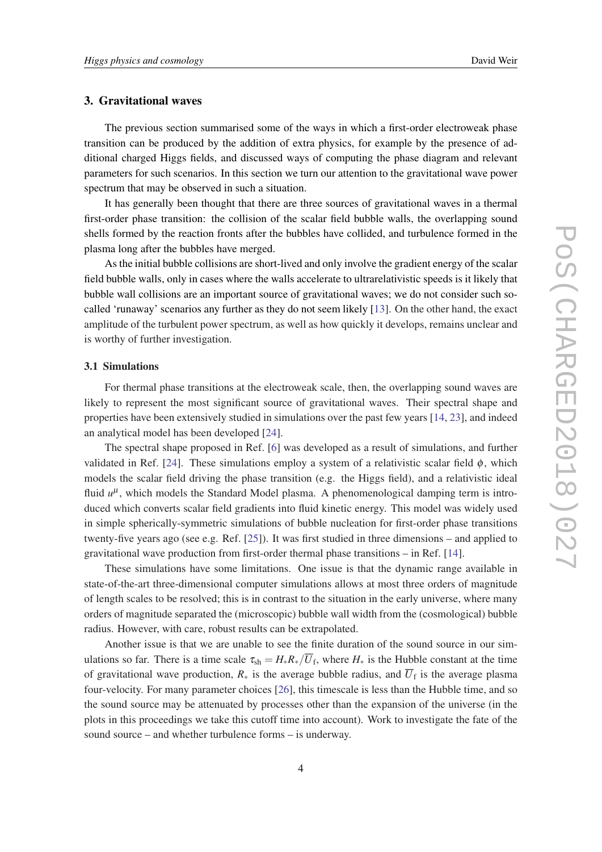#### 3. Gravitational waves

The previous section summarised some of the ways in which a first-order electroweak phase transition can be produced by the addition of extra physics, for example by the presence of additional charged Higgs fields, and discussed ways of computing the phase diagram and relevant parameters for such scenarios. In this section we turn our attention to the gravitational wave power spectrum that may be observed in such a situation.

It has generally been thought that there are three sources of gravitational waves in a thermal first-order phase transition: the collision of the scalar field bubble walls, the overlapping sound shells formed by the reaction fronts after the bubbles have collided, and turbulence formed in the plasma long after the bubbles have merged.

As the initial bubble collisions are short-lived and only involve the gradient energy of the scalar field bubble walls, only in cases where the walls accelerate to ultrarelativistic speeds is it likely that bubble wall collisions are an important source of gravitational waves; we do not consider such socalled 'runaway' scenarios any further as they do not seem likely [[13\]](#page-8-0). On the other hand, the exact amplitude of the turbulent power spectrum, as well as how quickly it develops, remains unclear and is worthy of further investigation.

#### 3.1 Simulations

For thermal phase transitions at the electroweak scale, then, the overlapping sound waves are likely to represent the most significant source of gravitational waves. Their spectral shape and properties have been extensively studied in simulations over the past few years [[14,](#page-8-0) [23\]](#page-8-0), and indeed an analytical model has been developed [[24\]](#page-8-0).

The spectral shape proposed in Ref. [\[6\]](#page-7-0) was developed as a result of simulations, and further validated in Ref. [\[24](#page-8-0)]. These simulations employ a system of a relativistic scalar field  $\phi$ , which models the scalar field driving the phase transition (e.g. the Higgs field), and a relativistic ideal fluid  $u^{\mu}$ , which models the Standard Model plasma. A phenomenological damping term is introduced which converts scalar field gradients into fluid kinetic energy. This model was widely used in simple spherically-symmetric simulations of bubble nucleation for first-order phase transitions twenty-five years ago (see e.g. Ref. [[25\]](#page-8-0)). It was first studied in three dimensions – and applied to gravitational wave production from first-order thermal phase transitions – in Ref. [[14](#page-8-0)].

These simulations have some limitations. One issue is that the dynamic range available in state-of-the-art three-dimensional computer simulations allows at most three orders of magnitude of length scales to be resolved; this is in contrast to the situation in the early universe, where many orders of magnitude separated the (microscopic) bubble wall width from the (cosmological) bubble radius. However, with care, robust results can be extrapolated.

Another issue is that we are unable to see the finite duration of the sound source in our simulations so far. There is a time scale  $\tau_{sh} = H_* R_*/\overline{U}_f$ , where  $H_*$  is the Hubble constant at the time of gravitational wave production,  $R_*$  is the average bubble radius, and  $\overline{U}_f$  is the average plasma four-velocity. For many parameter choices [\[26](#page-8-0)], this timescale is less than the Hubble time, and so the sound source may be attenuated by processes other than the expansion of the universe (in the plots in this proceedings we take this cutoff time into account). Work to investigate the fate of the sound source – and whether turbulence forms – is underway.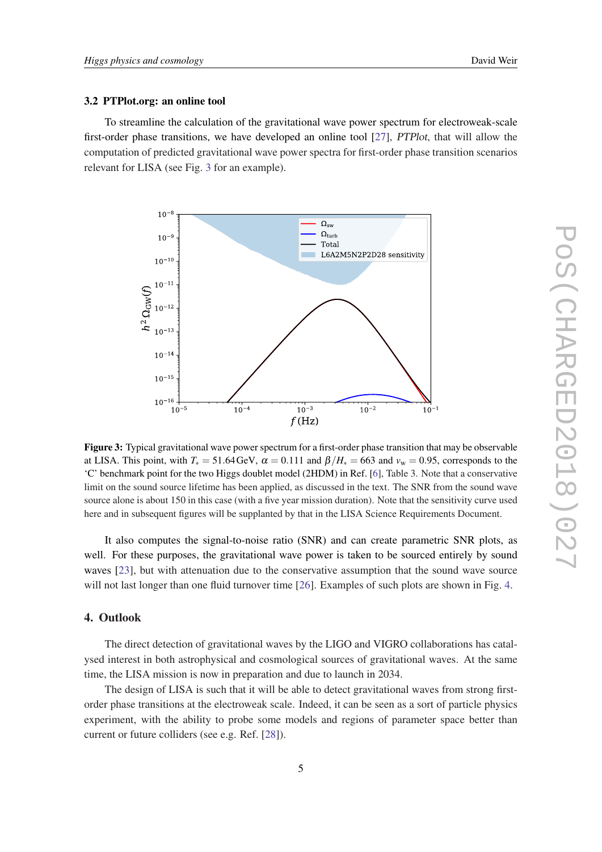#### 3.2 PTPlot.org: an online tool

To streamline the calculation of the gravitational wave power spectrum for electroweak-scale first-order phase transitions, we have developed an online tool [[27\]](#page-8-0), PTPlot, that will allow the computation of predicted gravitational wave power spectra for first-order phase transition scenarios relevant for LISA (see Fig. 3 for an example).



Figure 3: Typical gravitational wave power spectrum for a first-order phase transition that may be observable at LISA. This point, with  $T_* = 51.64 \text{ GeV}$ ,  $\alpha = 0.111$  and  $\beta/H_* = 663$  and  $v_w = 0.95$ , corresponds to the 'C' benchmark point for the two Higgs doublet model (2HDM) in Ref. [[6\]](#page-7-0), Table 3. Note that a conservative limit on the sound source lifetime has been applied, as discussed in the text. The SNR from the sound wave source alone is about 150 in this case (with a five year mission duration). Note that the sensitivity curve used here and in subsequent figures will be supplanted by that in the LISA Science Requirements Document.

It also computes the signal-to-noise ratio (SNR) and can create parametric SNR plots, as well. For these purposes, the gravitational wave power is taken to be sourced entirely by sound waves [\[23](#page-8-0)], but with attenuation due to the conservative assumption that the sound wave source will not last longer than one fluid turnover time [\[26\]](#page-8-0). Examples of such plots are shown in Fig. [4.](#page-6-0)

#### 4. Outlook

The direct detection of gravitational waves by the LIGO and VIGRO collaborations has catalysed interest in both astrophysical and cosmological sources of gravitational waves. At the same time, the LISA mission is now in preparation and due to launch in 2034.

The design of LISA is such that it will be able to detect gravitational waves from strong firstorder phase transitions at the electroweak scale. Indeed, it can be seen as a sort of particle physics experiment, with the ability to probe some models and regions of parameter space better than current or future colliders (see e.g. Ref. [\[28](#page-8-0)]).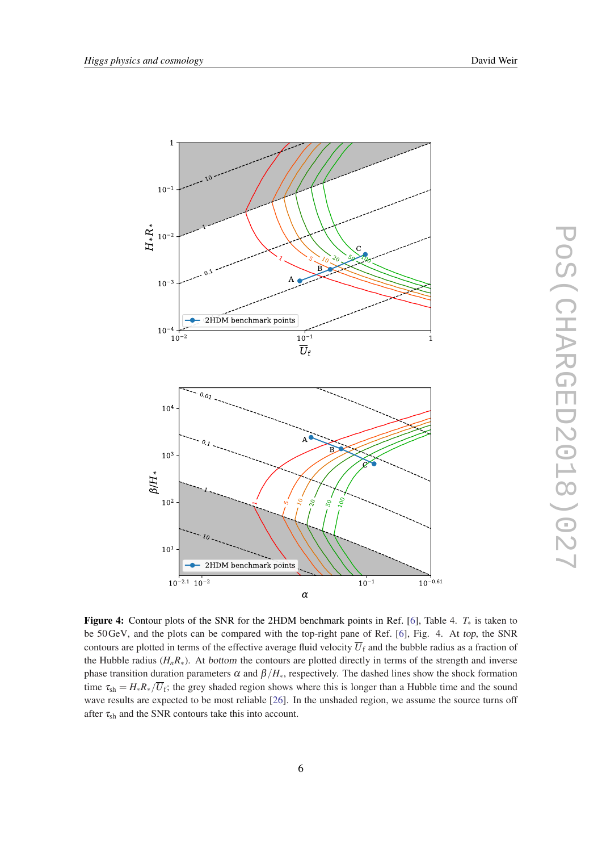<span id="page-6-0"></span>

Figure 4: Contour plots of the SNR for the 2HDM benchmark points in Ref. [[6\]](#page-7-0), Table 4. *T*<sup>∗</sup> is taken to be 50GeV, and the plots can be compared with the top-right pane of Ref. [[6\]](#page-7-0), Fig. 4. At top, the SNR contours are plotted in terms of the effective average fluid velocity  $\overline{U}_f$  and the bubble radius as a fraction of the Hubble radius ( $H_nR_*$ ). At bottom the contours are plotted directly in terms of the strength and inverse phase transition duration parameters  $\alpha$  and  $\beta/H_*$ , respectively. The dashed lines show the shock formation time  $\tau_{sh} = H_*R_*/\overline{U}_f$ ; the grey shaded region shows where this is longer than a Hubble time and the sound wave results are expected to be most reliable [[26\]](#page-8-0). In the unshaded region, we assume the source turns off after  $\tau_{sh}$  and the SNR contours take this into account.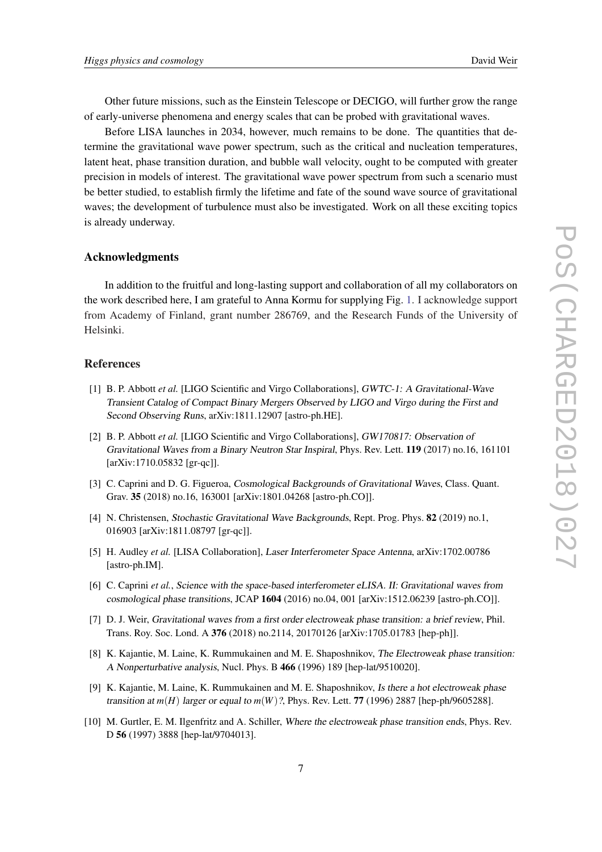<span id="page-7-0"></span>Other future missions, such as the Einstein Telescope or DECIGO, will further grow the range of early-universe phenomena and energy scales that can be probed with gravitational waves.

Before LISA launches in 2034, however, much remains to be done. The quantities that determine the gravitational wave power spectrum, such as the critical and nucleation temperatures, latent heat, phase transition duration, and bubble wall velocity, ought to be computed with greater precision in models of interest. The gravitational wave power spectrum from such a scenario must be better studied, to establish firmly the lifetime and fate of the sound wave source of gravitational waves; the development of turbulence must also be investigated. Work on all these exciting topics is already underway.

#### Acknowledgments

In addition to the fruitful and long-lasting support and collaboration of all my collaborators on the work described here, I am grateful to Anna Kormu for supplying Fig. [1](#page-2-0). I acknowledge support from Academy of Finland, grant number 286769, and the Research Funds of the University of Helsinki.

#### References

- [1] B. P. Abbott *et al.* [LIGO Scientific and Virgo Collaborations], GWTC-1: A Gravitational-Wave Transient Catalog of Compact Binary Mergers Observed by LIGO and Virgo during the First and Second Observing Runs, arXiv:1811.12907 [astro-ph.HE].
- [2] B. P. Abbott *et al.* [LIGO Scientific and Virgo Collaborations], GW170817: Observation of Gravitational Waves from a Binary Neutron Star Inspiral, Phys. Rev. Lett. 119 (2017) no.16, 161101 [arXiv:1710.05832 [gr-qc]].
- [3] C. Caprini and D. G. Figueroa, Cosmological Backgrounds of Gravitational Waves, Class. Quant. Grav. 35 (2018) no.16, 163001 [arXiv:1801.04268 [astro-ph.CO]].
- [4] N. Christensen, Stochastic Gravitational Wave Backgrounds, Rept. Prog. Phys. 82 (2019) no.1, 016903 [arXiv:1811.08797 [gr-qc]].
- [5] H. Audley *et al.* [LISA Collaboration], Laser Interferometer Space Antenna, arXiv:1702.00786 [astro-ph.IM].
- [6] C. Caprini *et al.*, Science with the space-based interferometer eLISA. II: Gravitational waves from cosmological phase transitions, JCAP 1604 (2016) no.04, 001 [arXiv:1512.06239 [astro-ph.CO]].
- [7] D. J. Weir, Gravitational waves from a first order electroweak phase transition: a brief review, Phil. Trans. Roy. Soc. Lond. A 376 (2018) no.2114, 20170126 [arXiv:1705.01783 [hep-ph]].
- [8] K. Kajantie, M. Laine, K. Rummukainen and M. E. Shaposhnikov, The Electroweak phase transition: A Nonperturbative analysis, Nucl. Phys. B 466 (1996) 189 [hep-lat/9510020].
- [9] K. Kajantie, M. Laine, K. Rummukainen and M. E. Shaposhnikov, Is there a hot electroweak phase transition at  $m(H)$  larger or equal to  $m(W)$ ?, Phys. Rev. Lett. 77 (1996) 2887 [hep-ph/9605288].
- [10] M. Gurtler, E. M. Ilgenfritz and A. Schiller, Where the electroweak phase transition ends, Phys. Rev. D 56 (1997) 3888 [hep-lat/9704013].